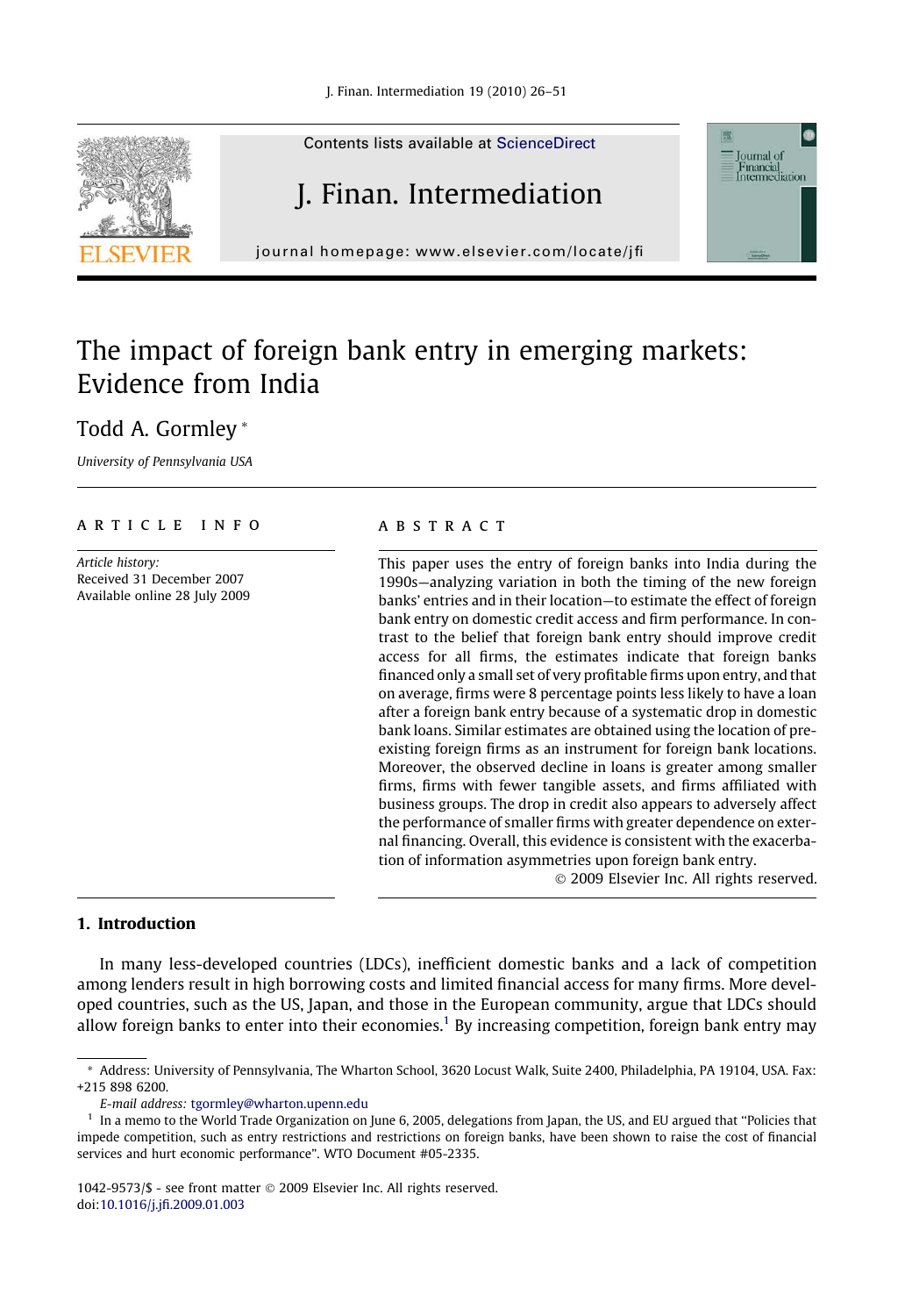

Contents lists available at [ScienceDirect](http://www.sciencedirect.com/science/journal/10429573)

# J. Finan. Intermediation



# The impact of foreign bank entry in emerging markets: Evidence from India

### Todd A. Gormley \*

University of Pennsylvania USA

#### article info

Article history: Received 31 December 2007 Available online 28 July 2009

#### **ABSTRACT**

This paper uses the entry of foreign banks into India during the 1990s—analyzing variation in both the timing of the new foreign banks' entries and in their location—to estimate the effect of foreign bank entry on domestic credit access and firm performance. In contrast to the belief that foreign bank entry should improve credit access for all firms, the estimates indicate that foreign banks financed only a small set of very profitable firms upon entry, and that on average, firms were 8 percentage points less likely to have a loan after a foreign bank entry because of a systematic drop in domestic bank loans. Similar estimates are obtained using the location of preexisting foreign firms as an instrument for foreign bank locations. Moreover, the observed decline in loans is greater among smaller firms, firms with fewer tangible assets, and firms affiliated with business groups. The drop in credit also appears to adversely affect the performance of smaller firms with greater dependence on external financing. Overall, this evidence is consistent with the exacerbation of information asymmetries upon foreign bank entry.

- 2009 Elsevier Inc. All rights reserved.

Journal of Financial<br>Intermediation

#### 1. Introduction

In many less-developed countries (LDCs), inefficient domestic banks and a lack of competition among lenders result in high borrowing costs and limited financial access for many firms. More developed countries, such as the US, Japan, and those in the European community, argue that LDCs should allow foreign banks to enter into their economies.<sup>1</sup> By increasing competition, foreign bank entry may

1042-9573/\$ - see front matter @ 2009 Elsevier Inc. All rights reserved. doi:[10.1016/j.jfi.2009.01.003](http://dx.doi.org/10.1016/j.jfi.2009.01.003)

<sup>\*</sup> Address: University of Pennsylvania, The Wharton School, 3620 Locust Walk, Suite 2400, Philadelphia, PA 19104, USA. Fax: +215 898 6200.

E-mail address: [tgormley@wharton.upenn.edu](mailto:tgormley@wharton.upenn.edu)

<sup>1</sup> In a memo to the World Trade Organization on June 6, 2005, delegations from Japan, the US, and EU argued that ''Policies that impede competition, such as entry restrictions and restrictions on foreign banks, have been shown to raise the cost of financial services and hurt economic performance". WTO Document #05-2335.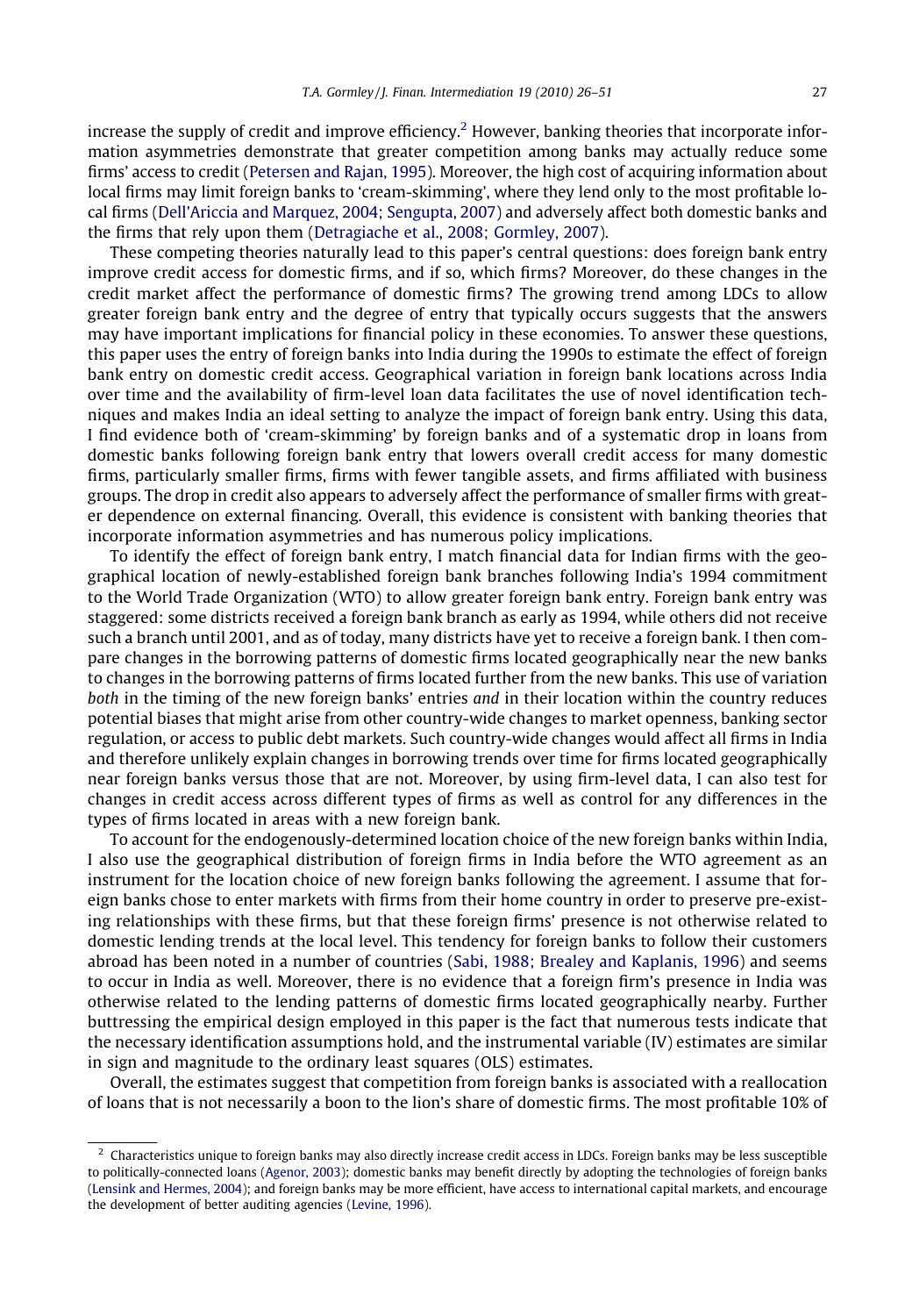increase the supply of credit and improve efficiency.<sup>2</sup> However, banking theories that incorporate information asymmetries demonstrate that greater competition among banks may actually reduce some firms' access to credit ([Petersen and Rajan, 1995\)](#page--1-0). Moreover, the high cost of acquiring information about local firms may limit foreign banks to 'cream-skimming', where they lend only to the most profitable local firms ([Dell'Ariccia and Marquez, 2004; Sengupta, 2007](#page--1-0)) and adversely affect both domestic banks and the firms that rely upon them [\(Detragiache et al., 2008; Gormley, 2007\)](#page--1-0).

These competing theories naturally lead to this paper's central questions: does foreign bank entry improve credit access for domestic firms, and if so, which firms? Moreover, do these changes in the credit market affect the performance of domestic firms? The growing trend among LDCs to allow greater foreign bank entry and the degree of entry that typically occurs suggests that the answers may have important implications for financial policy in these economies. To answer these questions, this paper uses the entry of foreign banks into India during the 1990s to estimate the effect of foreign bank entry on domestic credit access. Geographical variation in foreign bank locations across India over time and the availability of firm-level loan data facilitates the use of novel identification techniques and makes India an ideal setting to analyze the impact of foreign bank entry. Using this data, I find evidence both of 'cream-skimming' by foreign banks and of a systematic drop in loans from domestic banks following foreign bank entry that lowers overall credit access for many domestic firms, particularly smaller firms, firms with fewer tangible assets, and firms affiliated with business groups. The drop in credit also appears to adversely affect the performance of smaller firms with greater dependence on external financing. Overall, this evidence is consistent with banking theories that incorporate information asymmetries and has numerous policy implications.

To identify the effect of foreign bank entry, I match financial data for Indian firms with the geographical location of newly-established foreign bank branches following India's 1994 commitment to the World Trade Organization (WTO) to allow greater foreign bank entry. Foreign bank entry was staggered: some districts received a foreign bank branch as early as 1994, while others did not receive such a branch until 2001, and as of today, many districts have yet to receive a foreign bank. I then compare changes in the borrowing patterns of domestic firms located geographically near the new banks to changes in the borrowing patterns of firms located further from the new banks. This use of variation both in the timing of the new foreign banks' entries and in their location within the country reduces potential biases that might arise from other country-wide changes to market openness, banking sector regulation, or access to public debt markets. Such country-wide changes would affect all firms in India and therefore unlikely explain changes in borrowing trends over time for firms located geographically near foreign banks versus those that are not. Moreover, by using firm-level data, I can also test for changes in credit access across different types of firms as well as control for any differences in the types of firms located in areas with a new foreign bank.

To account for the endogenously-determined location choice of the new foreign banks within India, I also use the geographical distribution of foreign firms in India before the WTO agreement as an instrument for the location choice of new foreign banks following the agreement. I assume that foreign banks chose to enter markets with firms from their home country in order to preserve pre-existing relationships with these firms, but that these foreign firms' presence is not otherwise related to domestic lending trends at the local level. This tendency for foreign banks to follow their customers abroad has been noted in a number of countries ([Sabi, 1988; Brealey and Kaplanis, 1996](#page--1-0)) and seems to occur in India as well. Moreover, there is no evidence that a foreign firm's presence in India was otherwise related to the lending patterns of domestic firms located geographically nearby. Further buttressing the empirical design employed in this paper is the fact that numerous tests indicate that the necessary identification assumptions hold, and the instrumental variable (IV) estimates are similar in sign and magnitude to the ordinary least squares (OLS) estimates.

Overall, the estimates suggest that competition from foreign banks is associated with a reallocation of loans that is not necessarily a boon to the lion's share of domestic firms. The most profitable 10% of

 $<sup>2</sup>$  Characteristics unique to foreign banks may also directly increase credit access in LDCs. Foreign banks may be less susceptible</sup> to politically-connected loans [\(Agenor, 2003](#page--1-0)); domestic banks may benefit directly by adopting the technologies of foreign banks ([Lensink and Hermes, 2004](#page--1-0)); and foreign banks may be more efficient, have access to international capital markets, and encourage the development of better auditing agencies ([Levine, 1996](#page--1-0)).